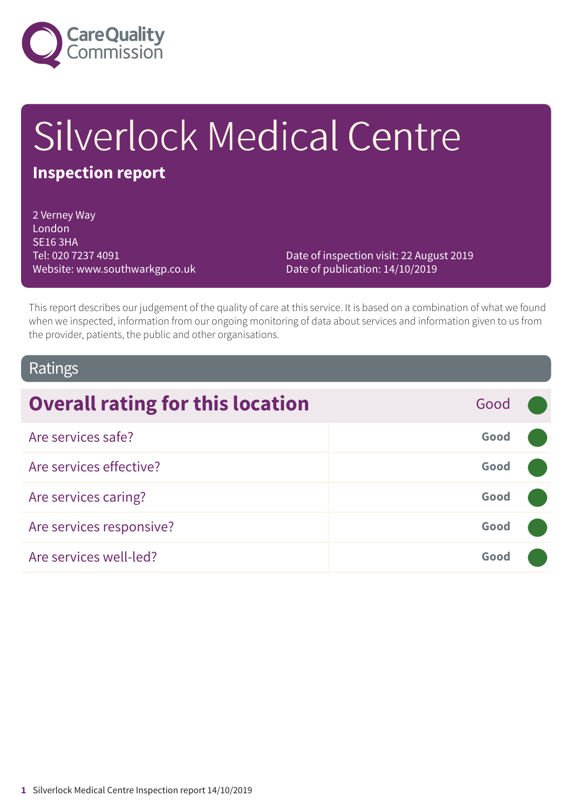

# Silverlock Medical Centre

# **Inspection report**

2 Verney Way London SE16 3HA Tel: 020 7237 4091 Website: www.southwarkgp.co.uk

Date of inspection visit: 22 August 2019 Date of publication: 14/10/2019

This report describes our judgement of the quality of care at this service. It is based on a combination of what we found when we inspected, information from our ongoing monitoring of data about services and information given to us from the provider, patients, the public and other organisations.

### Ratings

| <b>Overall rating for this location</b> | Good |  |
|-----------------------------------------|------|--|
| Are services safe?                      | Good |  |
| Are services effective?                 | Good |  |
| Are services caring?                    | Good |  |
| Are services responsive?                | Good |  |
| Are services well-led?                  | Good |  |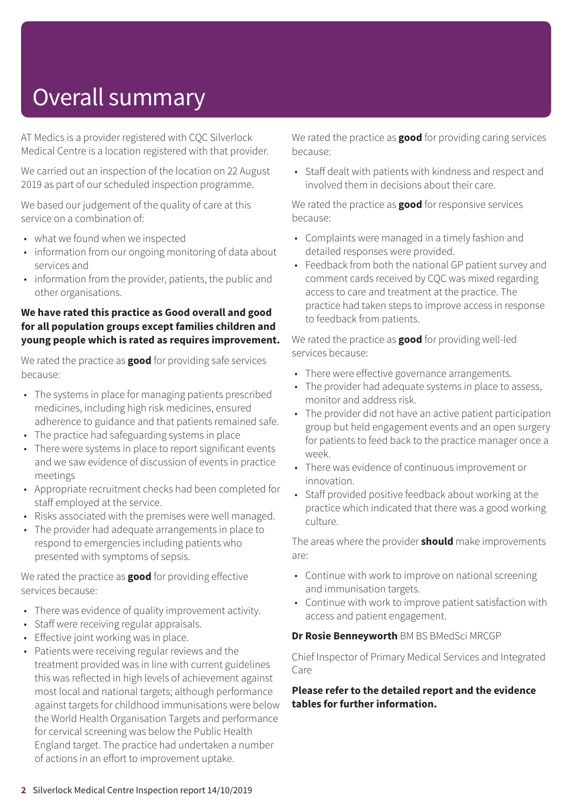# Overall summary

AT Medics is a provider registered with CQC Silverlock Medical Centre is a location registered with that provider.

We carried out an inspection of the location on 22 August 2019 as part of our scheduled inspection programme.

We based our judgement of the quality of care at this service on a combination of:

- what we found when we inspected
- information from our ongoing monitoring of data about services and
- information from the provider, patients, the public and other organisations.

#### **We have rated this practice as Good overall and good for all population groups except families children and young people which is rated as requires improvement.**

We rated the practice as **good** for providing safe services because:

- The systems in place for managing patients prescribed medicines, including high risk medicines, ensured adherence to guidance and that patients remained safe.
- The practice had safeguarding systems in place
- There were systems in place to report significant events and we saw evidence of discussion of events in practice meetings
- Appropriate recruitment checks had been completed for staff employed at the service.
- Risks associated with the premises were well managed.
- The provider had adequate arrangements in place to respond to emergencies including patients who presented with symptoms of sepsis.

We rated the practice as **good** for providing effective services because:

- There was evidence of quality improvement activity.
- Staff were receiving regular appraisals.
- Effective joint working was in place.
- Patients were receiving regular reviews and the treatment provided was in line with current guidelines this was reflected in high levels of achievement against most local and national targets; although performance against targets for childhood immunisations were below the World Health Organisation Targets and performance for cervical screening was below the Public Health England target. The practice had undertaken a number of actions in an effort to improvement uptake.

We rated the practice as **good** for providing caring services because:

• Staff dealt with patients with kindness and respect and involved them in decisions about their care.

We rated the practice as **good** for responsive services because:

- Complaints were managed in a timely fashion and detailed responses were provided.
- Feedback from both the national GP patient survey and comment cards received by CQC was mixed regarding access to care and treatment at the practice. The practice had taken steps to improve access in response to feedback from patients.

We rated the practice as **good** for providing well-led services because:

- There were effective governance arrangements.
- The provider had adequate systems in place to assess, monitor and address risk.
- The provider did not have an active patient participation group but held engagement events and an open surgery for patients to feed back to the practice manager once a week.
- There was evidence of continuous improvement or innovation.
- Staff provided positive feedback about working at the practice which indicated that there was a good working culture.

The areas where the provider **should** make improvements are:

- Continue with work to improve on national screening and immunisation targets.
- Continue with work to improve patient satisfaction with access and patient engagement.

#### **Dr Rosie Benneyworth** BM BS BMedSci MRCGP

Chief Inspector of Primary Medical Services and Integrated Care

#### **Please refer to the detailed report and the evidence tables for further information.**